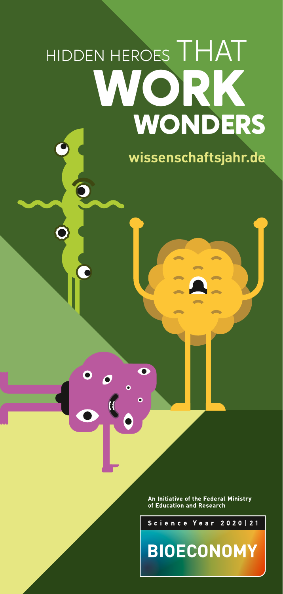# HIDDEN HEROES THAT **WORK WONDERS**

 $\overline{\mathbf{o}}$ 

 $\bullet$  $\bullet$ 

**[wissenschaftsjahr.de](http://wissenschaftsjahr.de)**

An Initiative of the Federal Ministry of Education and Research

Science Year

**BIOECONOMY** 

 $2020 | 21$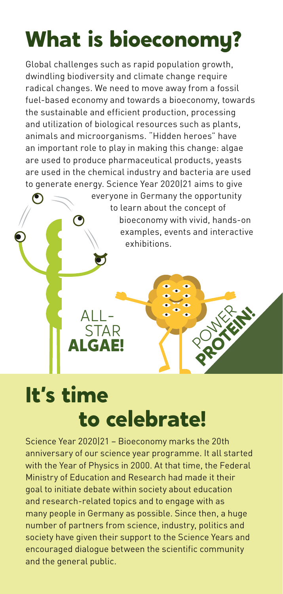## **What is bioeconomy?**

Global challenges such as rapid population growth, dwindling biodiversity and climate change require radical changes. We need to move away from a fossil fuel-based economy and towards a bioeconomy, towards the sustainable and efficient production, processing and utilization of biological resources such as plants, animals and microorganisms. "Hidden heroes" have an important role to play in making this change: algae are used to produce pharmaceutical products, yeasts are used in the chemical industry and bacteria are used to generate energy. Science Year 2020|21 aims to give

> everyone in Germany the opportunity to learn about the concept of bioeconomy with vivid, hands-on examples, events and interactive exhibitions.

> > PROTEIN!

### **It's time to celebrate!**

 $ALI -$ 

**ALGAE! STAR** 

Science Year 2020|21 – Bioeconomy marks the 20th anniversary of our science year programme. It all started with the Year of Physics in 2000. At that time, the Federal Ministry of Education and Research had made it their goal to initiate debate within society about education and research-related topics and to engage with as many people in Germany as possible. Since then, a huge number of partners from science, industry, politics and society have given their support to the Science Years and encouraged dialogue between the scientific community and the general public.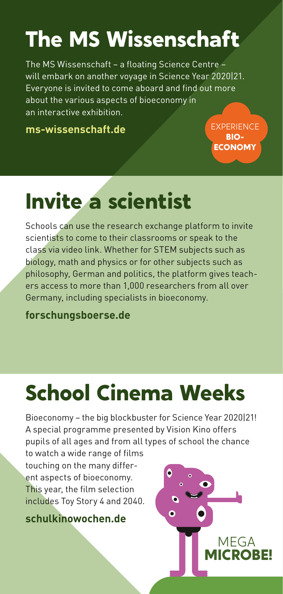# **The MS Wissenschaft**

The MS Wissenschaft – a floating Science Centre – will embark on another voyage in Science Year 2020|21. Everyone is invited to come aboard and find out more about the various aspects of bioeconomy in an interactive exhibition.

**[ms-wissenschaft.de](https://ms-wissenschaft.de/de/)**

**EXPERIENCE BIO-ECONOMY**

### **Invite a scientist**

Schools can use the research exchange platform to invite scientists to come to their classrooms or speak to the class via video link. Whether for STEM subjects such as biology, math and physics or for other subjects such as philosophy, German and politics, the platform gives teachers access to more than 1,000 researchers from all over Germany, including specialists in bioeconomy.

**[forschungsboerse.de](https://forschungsboerse.de/)**

# **School Cinema Weeks**

Bioeconomy – the big blockbuster for Science Year 2020|21! A special programme presented by Vision Kino offers pupils of all ages and from all types of school the chance

to watch a wide range of films touching on the many different aspects of bioeconomy. This year, the film selection includes Toy Story 4 and 2040.

**[schulkinowochen.de](https://www.visionkino.de/schulkinowochen/)**

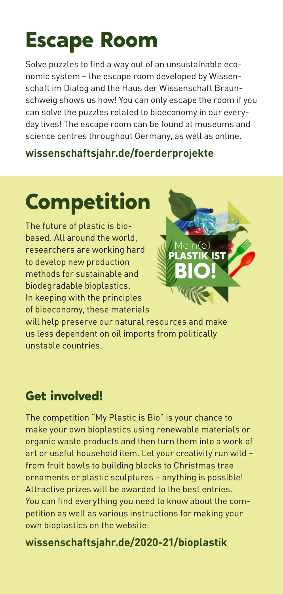### **Escape Room**

Solve puzzles to find a way out of an unsustainable economic system – the escape room developed by Wissenschaft im Dialog and the Haus der Wissenschaft Braunschweig shows us how! You can only escape the room if you can solve the puzzles related to bioeconomy in our everyday lives! The escape room can be found at museums and science centres throughout Germany, as well as online.

#### **[wissenschaftsjahr.de/foerderprojekte](https://www.wissenschaftsjahr.de/2020-21/das-wissenschaftsjahr/foerderprojekte)**

# **Competition**

The future of plastic is biobased. All around the world, researchers are working hard to develop new production methods for sustainable and biodegradable bioplastics. In keeping with the principles of bioeconomy, these materials



will help preserve our natural resources and make us less dependent on oil imports from politically unstable countries.

### **Get involved!**

The competition "My Plastic is Bio" is your chance to make your own bioplastics using renewable materials or organic waste products and then turn them into a work of art or useful household item. Let your creativity run wild – from fruit bowls to building blocks to Christmas tree ornaments or plastic sculptures – anything is possible! Attractive prizes will be awarded to the best entries. You can find everything you need to know about the competition as well as various instructions for making your own bioplastics on the website:

#### **[wissenschaftsjahr.de/2020-21/bioplastik](https://www.wissenschaftsjahr.de/2020-21/meine-plastik-ist-bio)**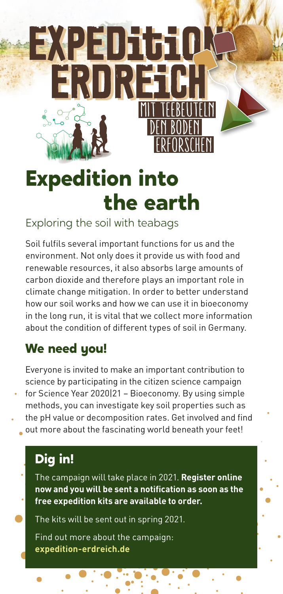

### **Expedition into the earth**

Exploring the soil with teabags

Soil fulfils several important functions for us and the environment. Not only does it provide us with food and renewable resources, it also absorbs large amounts of carbon dioxide and therefore plays an important role in climate change mitigation. In order to better understand how our soil works and how we can use it in bioeconomy in the long run, it is vital that we collect more information about the condition of different types of soil in Germany.

### **We need you!**

Everyone is invited to make an important contribution to science by participating in the citizen science campaign for Science Year 2020|21 – Bioeconomy. By using simple methods, you can investigate key soil properties such as the pH value or decomposition rates. Get involved and find

out more about the fascinating world beneath your feet!

### **Dig in!**

The campaign will take place in 2021. **Register online now and you will be sent a notification as soon as the free expedition kits are available to order.**

The kits will be sent out in spring 2021.

Find out more about the campaign: **[expedition-erdreich.de](https://www.expedition-erdreich.de/)**